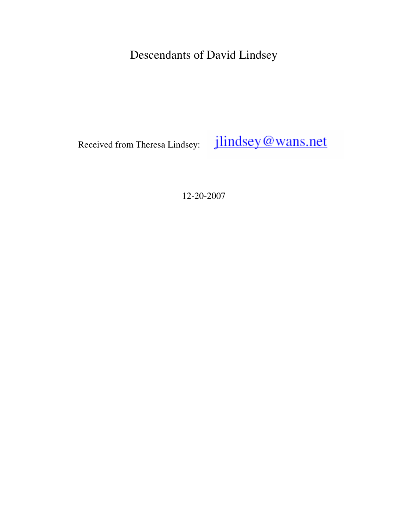Descendants of David Lindsey

jlindsey@wans.net Received from Theresa Lindsey:

12-20-2007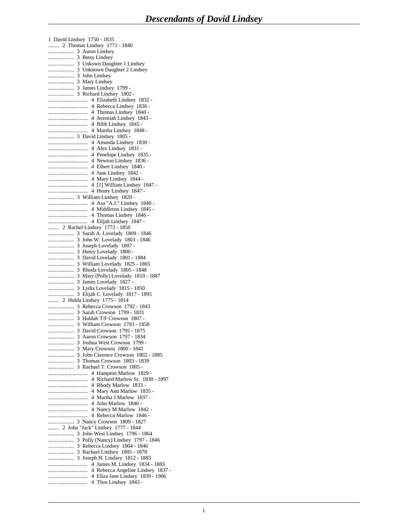1 David Lindsey 1750 - 1835 ........ 2 Thomas Lindsey 1771 - 1840 ................... 3 Aaron Lindsey ................... 3 Betsy Lindsey ................... 3 Unkown Daughter 1 Lindsey ................... 3 Unknown Daughter 2 Lindsey ................... 3 John Lindsey ................... 3 Mary Lindsey ................... 3 James Lindsey 1799 - ................... 3 Richard Lindsey 1802 - ............................. 4 Elizabeth Lindsey 1832 - ............................. 4 Rebecca Lindsey 1836 - ............................. 4 Thomas Lindsey 1840 - ............................. 4 Jeremiah Lindsey 1843 - ............................. 4 Bibb Lindsey 1845 - ............................. 4 Martha Lindsey 1848 - ................... 3 David Lindsey 1805 - ............................. 4 Amanda Lindsey 1830 - ............................. 4 Alex Lindsey 1831 - ............................. 4 Penelope Lindsey 1835 - ............................. 4 Newton Lindsey 1836 - ............................. 4 Elbert Lindsey 1840 - ............................. 4 Jane Lindsey 1842 - ............................. 4 Mary Lindsey 1844 - ............................. 4 [1] William Lindsey 1847 - ............................. 4 Henry Lindsey 1847 - ................... 3 William Lindsey 1820 - ............................. 4 Asa "A.J." Lindsey 1840 - ............................. 4 Middleton Lindsey 1845 - ............................. 4 Thomas Lindsey 1846 - ............................. 4 Elijah Lindsey 1847 - ........ 2 Rachel Lindsey 1773 - 1850 ................... 3 Sarah A. Lovelady 1809 - 1846 ................... 3 John W. Lovelady 1803 - 1846 ................... 3 Joseph Lovelady 1807 - ................... 3 Henry Lovelady 1800 - ................... 3 David Lovelady 1801 - 1884 ................... 3 William Lovelady 1825 - 1865 ................... 3 Rhoda Lovelady 1805 - 1848 ................... 3 Mary (Polly) Lovelady 1810 - 1887 ................... 3 James Lovelady 1827 - ................... 3 Lydia Lovelady 1815 - 1850 ................... 3 Elijah C. Lovelady 1817 - 1895 ........ 2 Hulda Lindsey 1775 - 1814 ................... 3 Rebecca Crowson 1792 - 1843 ................... 3 Sarah Crowson 1799 - 1831 ................... 3 Huldah T/F Crowson 1807 - ................... 3 William Crowson 1793 - 1858 ................... 3 David Crowson 1795 - 1875 ................... 3 Aaron Crowson 1797 - 1834 ................... 3 Joshua West Crowson 1799 - ................... 3 Mary Crowson 1800 - 1841 ................... 3 John Clarence Crowson 1802 - 1885 ................... 3 Thomas Crowson 1803 - 1839 ................... 3 Rachael T. Crowson 1805 - ............................. 4 Hampton Marlow 1829 - ............................. 4 Richard Marlow Sr. 1830 - 1897 ............................. 4 Rhody Marlow 1833 - ............................. 4 Mary Ann Marlow 1835 - ............................. 4 Martha J Marlow 1837 - ............................. 4 John Marlow 1840 - ............................. 4 Nancy M Marlow 1842 - ............................. 4 Rebecca Marlow 1846 - ................... 3 Nancy Crowson 1809 - 1827 ........ 2 John "Jack" Lindsey 1777 - 1844 ................... 3 John West Lindsey 1796 - 1864 ................... 3 Polly (Nancy) Lindsey 1797 - 1846 ................... 3 Rebecca Lindsey 1804 - 1846 ................... 3 Rachael Lindsey 1805 - 1878 ................... 3 Joseph H. Lindsey 1812 - 1883 ............................. 4 James M. Lindsey 1834 - 1883 ............................. 4 Rebecca Angeline Lindsey 1837 - ............................. 4 Eliza Jane Lindsey 1839 - 1906 ............................. 4 Thos Lindsey 1843 -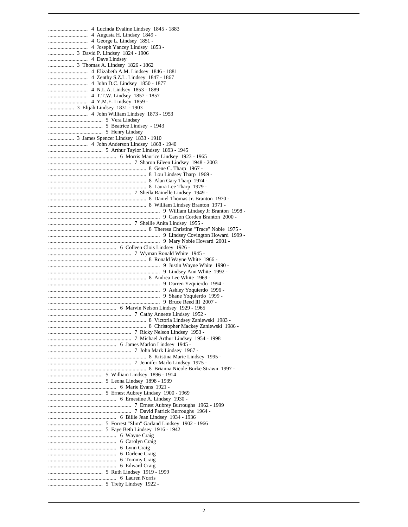.................... 3 Elijah Lindsey 1831 - 1903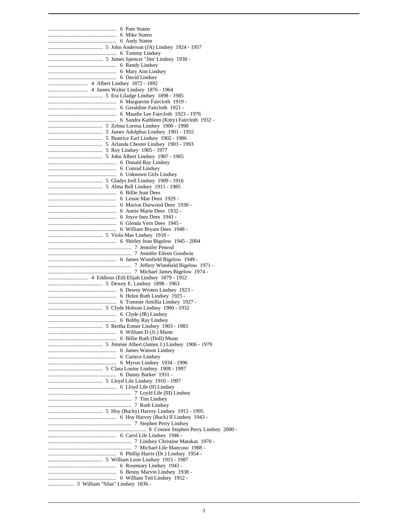.................................................. 6 Pam Staten .................................................. 6 Mike Staten .................................................. 6 Andy Staten ........................................ 5 John Anderson (JA) Lindsey 1924 - 1957 .................................................. 6 Tommy Lindsey ........................................ 5 James Spencer "Jim' Lindsey 1930 - .................................................. 6 Randy Lindsey .................................................. 6 Mary Ann Lindsey .................................................. 6 David Lindsey ............................. 4 Albert Lindsey 1872 - 1892 ............................. 4 James Walter Lindsey 1876 - 1964 ........................................ 5 Era Liladge Lindsey 1898 - 1985 .................................................. 6 Marguerite Faircloth 1919 - .................................................. 6 Geraldine Faircloth 1921 - .................................................. 6 Maudie Lee Faircloth 1923 - 1976 .................................................. 6 Sandra Kathleen (Kitty) Faircloth 1932 - ........................................ 5 Zelma Lorena Lindsey 1900 - 1990 ........................................ 5 James Adolphus Lindsey 1901 - 1955 ........................................ 5 Beatrice Earl Lindsey 1902 - 1986 ........................................ 5 Arlanda Chester Lindsey 1903 - 1993 ........................................ 5 Roy Lindsey 1905 - 1977 ........................................ 5 John Albert Lindsey 1907 - 1965 .................................................. 6 Donald Ray Lindsey .................................................. 6 Conrad Lindsey .................................................. 6 Unknown Girls Lindsey ........................................ 5 Gladys Irell Lindsey 1909 - 1916 ........................................ 5 Alma Bell Lindsey 1911 - 1985 .................................................. 6 Billie Jean Dees .................................................. 6 Lessie Mae Dees 1929 - .................................................. 6 Marion Durwood Dees 1930 - .................................................. 6 Annie Marie Dees 1932 - .................................................. 6 Joyce Inez Dees 1941 - .................................................. 6 Glenda Vern Dees 1945 - .................................................. 6 William Bryant Dees 1948 - ........................................ 5 Viola Mae Lindsey 1918 - .................................................. 6 Shirley Jean Bigelow 1945 - 2004 ............................................................. 7 Jennifer Penrod ............................................................. 7 Jennifer Eileen Goodwin .................................................. 6 James Winnfield Bigelow 1949 - ............................................................. 7 Jeffery Winnfield Bigelow 1971 - ............................................................. 7 Michael James Bigelow 1974 - ............................. 4 Eddious (Ed) Elijah Lindsey 1879 - 1952 ........................................ 5 Dewey E. Lindsey 1898 - 1963 .................................................. 6 Dewey Wroten Lindsey 1923 - .................................................. 6 Helen Ruth Lindsey 1925 - .................................................. 6 Tommie Amillia Lindsey 1927 - ........................................ 5 Clyde Hobson Lindsey 1900 - 1932 .................................................. 6 Clyde (JR) Lindsey .................................................. 6 Bobby Ray Lindsey ........................................ 5 Bertha Estner Lindsey 1903 - 1983 .................................................. 6 William D (Jr.) Munn .................................................. 6 Billie Ruth (Doll) Munn ........................................ 5 Jimmie Albert (James J.) Lindsey 1906 - 1979 .................................................. 6 James Watson Lindsey .................................................. 6 Cariece Lindsey .................................................. 6 Myron Lindsey 1934 - 1996 ........................................ 5 Clara Louise Lindsey 1908 - 1997 .................................................. 6 Danny Barker 1931 - ........................................ 5 Lloyd Lile Lindsey 1910 - 1997 .................................................. 6 Lloyd Lile (II) Lindsey ............................................................. 7 Loyld Lile (III) Lindsey ............................................................. 7 Tim Lindsey ............................................................. 7 Ruth Lindsey ........................................ 5 Hoy (Bucky) Harvey Lindsey 1912 - 1995 .................................................. 6 Hoy Harvey (Buck) II Lindsey 1943 - ............................................................. 7 Stephen Perry Lindsey ........................................................................ 8 Connor Stephen Perry Lindsey 2000 - .................................................. 6 Carol Lile Lindsey 1946 - ............................................................. 7 Lindsey Christine Matakas 1970 - ............................................................. 7 Michael Lile Mancuso 1988 - .................................................. 6 Phillip Harris (Dr.) Lindsey 1954 - ........................................ 5 William Leon Lindsey 1915 - 1987 .................................................. 6 Rosemary Lindsey 1943 - .................................................. 6 Benny Marvin Lindsey 1938 - .................................................. 6 William Ted Lindsey 1952 - ................... 3 William "Silas" Lindsey 1836 -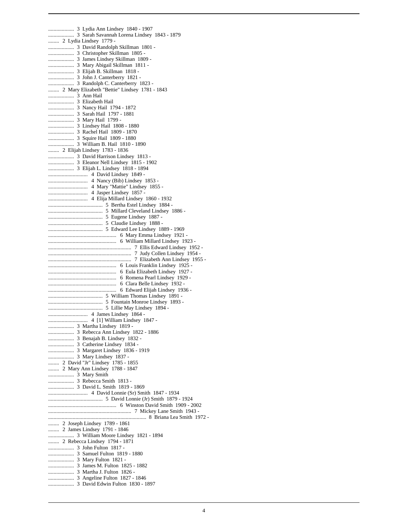................... 3 Lydia Ann Lindsey 1840 - 1907 ................... 3 Sarah Savannah Lorena Lindsey 1843 - 1879 ........ 2 Lydia Lindsey 1779 - ................... 3 David Randolph Skillman 1801 - ................... 3 Christopher Skillman 1805 - ................... 3 James Lindsey Skillman 1809 - ................... 3 Mary Abigail Skillman 1811 - ................... 3 Elijah B. Skillman 1818 - ................... 3 John J. Canterberry 1821 - ................... 3 Randolph C. Canterberry 1823 - ........ 2 Mary Elizabeth "Bettie" Lindsey 1781 - 1843 ................... 3 Ann Hail ................... 3 Elizabeth Hail ................... 3 Nancy Hail 1794 - 1872 ................... 3 Sarah Hail 1797 - 1881 ................... 3 Mary Hail 1799 - ................... 3 Lindsey Hail 1808 - 1880 ................... 3 Rachel Hail 1809 - 1870 ................... 3 Squire Hail 1809 - 1880 ................... 3 William B. Hail 1810 - 1890 ........ 2 Elijah Lindsey 1783 - 1836 ................... 3 David Harrison Lindsey 1813 - ................... 3 Eleanor Nell Lindsey 1815 - 1902 ................... 3 Elijah L. Lindsey 1818 - 1894 ............................. 4 David Lindsey 1849 - ............................. 4 Nancy (Bib) Lindsey 1853 - ............................. 4 Mary "Mattie" Lindsey 1855 - ............................. 4 Jasper Lindsey 1857 - ............................. 4 Elija Millard Lindsey 1860 - 1932 ........................................ 5 Bertha Estel Lindsey 1884 - ........................................ 5 Millard Cleveland Lindsey 1886 - ........................................ 5 Eugene Lindsey 1887 - ........................................ 5 Claudie Lindsey 1888 - ........................................ 5 Edward Lee Lindsey 1889 - 1969 .................................................. 6 Mary Emma Lindsey 1921 - .................................................. 6 William Millard Lindsey 1923 - ............................................................. 7 Ellis Edward Lindsey 1952 - ............................................................. 7 Judy Collen Lindsey 1954 - ............................................................. 7 Elizabeth Ann Lindsey 1955 - .................................................. 6 Louis Franklin Lindsey 1925 - .................................................. 6 Eula Elizabeth Lindsey 1927 - .................................................. 6 Romena Pearl Lindsey 1929 - .................................................. 6 Clara Belle Lindsey 1932 - .................................................. 6 Edward Elijah Lindsey 1936 - ........................................ 5 William Thomas Lindsey 1891 - ........................................ 5 Fountain Monroe Lindsey 1893 - ........................................ 5 Lillie May Lindsey 1894 - ............................. 4 James Lindsey 1864 - ............................. 4 [1] William Lindsey 1847 - ................... 3 Martha Lindsey 1819 - ................... 3 Rebecca Ann Lindsey 1822 - 1886 ................... 3 Benajah B. Lindsey 1832 - ................... 3 Catherine Lindsey 1834 - ................... 3 Margaret Lindsey 1836 - 1919 ................... 3 Mary Lindsey 1837 - ........ 2 David "Jr" Lindsey 1785 - 1855 ........ 2 Mary Ann Lindsey 1788 - 1847 ................... 3 Mary Smith ................... 3 Rebecca Smith 1813 - ................... 3 David L. Smith 1819 - 1869 ............................. 4 David Lonnie (Sr) Smith 1847 - 1934 ........................................ 5 David Lonnie (Jr) Smith 1879 - 1924 .................................................. 6 Winston David Smith 1909 - 2002 ............................................................. 7 Mickey Lane Smith 1943 - ........................................................................ 8 Briana Lea Smith 1972 - ........ 2 Joseph Lindsey 1789 - 1861 ........ 2 James Lindsey 1791 - 1846 ................... 3 William Moore Lindsey 1821 - 1894 ........ 2 Rebecca Lindsey 1794 - 1871 ................... 3 John Fulton 1817 - ................... 3 Samuel Fulton 1819 - 1880 ................... 3 Mary Fulton 1821 - ................... 3 James M. Fulton 1825 - 1882 ................... 3 Martha J. Fulton 1826 - ................... 3 Angeline Fulton 1827 - 1846 ................... 3 David Edwin Fulton 1830 - 1897